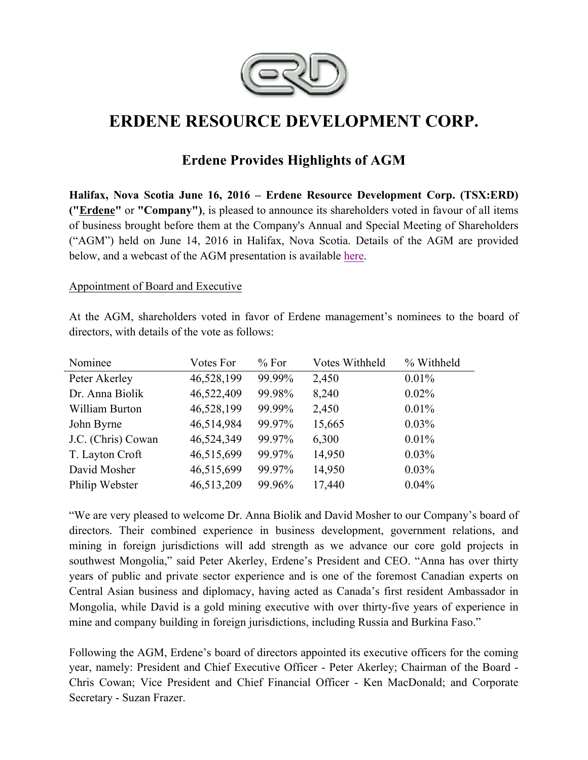

# **ERDENE RESOURCE DEVELOPMENT CORP.**

## **Erdene Provides Highlights of AGM**

**Halifax, Nova Scotia June 16, 2016 – Erdene Resource Development Corp. (TSX:ERD) ("Erdene"** or **"Company")**, is pleased to announce its shareholders voted in favour of all items of business brought before them at the Company's Annual and Special Meeting of Shareholders ("AGM") held on June 14, 2016 in Halifax, Nova Scotia. Details of the AGM are provided below, and a webcast of the AGM presentation is available here.

#### Appointment of Board and Executive

At the AGM, shareholders voted in favor of Erdene management's nominees to the board of directors, with details of the vote as follows:

| Nominee            | Votes For  | % For  | Votes Withheld | % Withheld |
|--------------------|------------|--------|----------------|------------|
| Peter Akerley      | 46,528,199 | 99.99% | 2,450          | $0.01\%$   |
| Dr. Anna Biolik    | 46,522,409 | 99.98% | 8,240          | $0.02\%$   |
| William Burton     | 46,528,199 | 99.99% | 2,450          | $0.01\%$   |
| John Byrne         | 46,514,984 | 99.97% | 15,665         | $0.03\%$   |
| J.C. (Chris) Cowan | 46,524,349 | 99.97% | 6,300          | $0.01\%$   |
| T. Layton Croft    | 46,515,699 | 99.97% | 14,950         | $0.03\%$   |
| David Mosher       | 46,515,699 | 99.97% | 14,950         | 0.03%      |
| Philip Webster     | 46,513,209 | 99.96% | 17,440         | 0.04%      |

"We are very pleased to welcome Dr. Anna Biolik and David Mosher to our Company's board of directors. Their combined experience in business development, government relations, and mining in foreign jurisdictions will add strength as we advance our core gold projects in southwest Mongolia," said Peter Akerley, Erdene's President and CEO. "Anna has over thirty years of public and private sector experience and is one of the foremost Canadian experts on Central Asian business and diplomacy, having acted as Canada's first resident Ambassador in Mongolia, while David is a gold mining executive with over thirty-five years of experience in mine and company building in foreign jurisdictions, including Russia and Burkina Faso."

Following the AGM, Erdene's board of directors appointed its executive officers for the coming year, namely: President and Chief Executive Officer - Peter Akerley; Chairman of the Board - Chris Cowan; Vice President and Chief Financial Officer - Ken MacDonald; and Corporate Secretary - Suzan Frazer.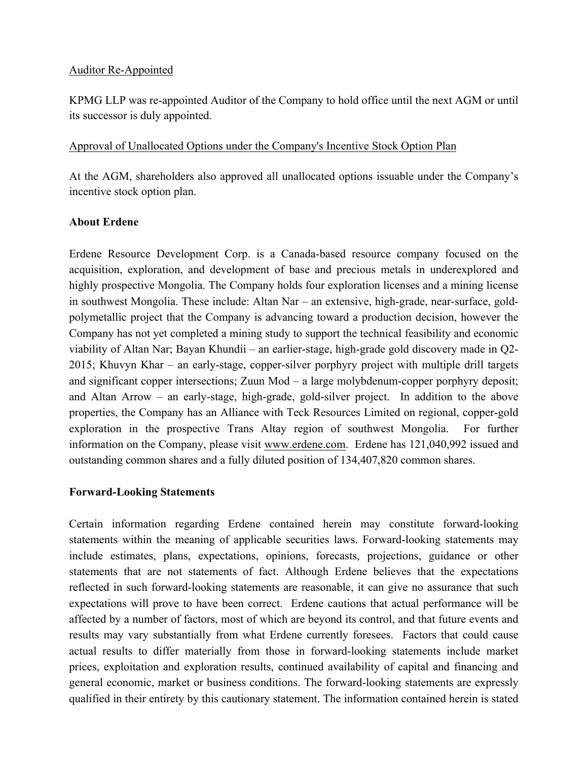#### Auditor Re-Appointed

KPMG LLP was re-appointed Auditor of the Company to hold office until the next AGM or until its successor is duly appointed.

#### Approval of Unallocated Options under the Company's Incentive Stock Option Plan

At the AGM, shareholders also approved all unallocated options issuable under the Company's incentive stock option plan.

#### **About Erdene**

Erdene Resource Development Corp. is a Canada-based resource company focused on the acquisition, exploration, and development of base and precious metals in underexplored and highly prospective Mongolia. The Company holds four exploration licenses and a mining license in southwest Mongolia. These include: Altan Nar – an extensive, high-grade, near-surface, goldpolymetallic project that the Company is advancing toward a production decision, however the Company has not yet completed a mining study to support the technical feasibility and economic viability of Altan Nar; Bayan Khundii – an earlier-stage, high-grade gold discovery made in Q2- 2015; Khuvyn Khar – an early-stage, copper-silver porphyry project with multiple drill targets and significant copper intersections; Zuun Mod – a large molybdenum-copper porphyry deposit; and Altan Arrow – an early-stage, high-grade, gold-silver project. In addition to the above properties, the Company has an Alliance with Teck Resources Limited on regional, copper-gold exploration in the prospective Trans Altay region of southwest Mongolia. For further information on the Company, please visit www.erdene.com. Erdene has 121,040,992 issued and outstanding common shares and a fully diluted position of 134,407,820 common shares.

#### **Forward-Looking Statements**

Certain information regarding Erdene contained herein may constitute forward-looking statements within the meaning of applicable securities laws. Forward-looking statements may include estimates, plans, expectations, opinions, forecasts, projections, guidance or other statements that are not statements of fact. Although Erdene believes that the expectations reflected in such forward-looking statements are reasonable, it can give no assurance that such expectations will prove to have been correct. Erdene cautions that actual performance will be affected by a number of factors, most of which are beyond its control, and that future events and results may vary substantially from what Erdene currently foresees. Factors that could cause actual results to differ materially from those in forward-looking statements include market prices, exploitation and exploration results, continued availability of capital and financing and general economic, market or business conditions. The forward-looking statements are expressly qualified in their entirety by this cautionary statement. The information contained herein is stated